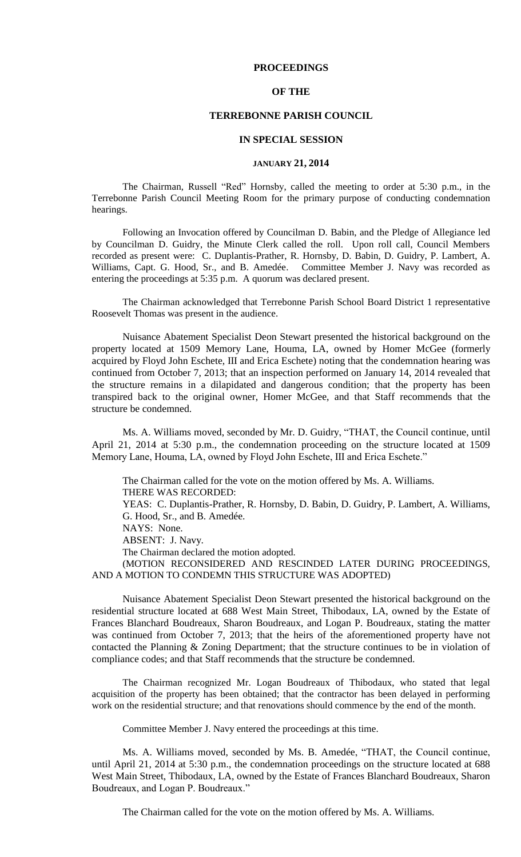# **PROCEEDINGS**

## **OF THE**

# **TERREBONNE PARISH COUNCIL**

#### **IN SPECIAL SESSION**

## **JANUARY 21, 2014**

The Chairman, Russell "Red" Hornsby, called the meeting to order at 5:30 p.m., in the Terrebonne Parish Council Meeting Room for the primary purpose of conducting condemnation hearings.

Following an Invocation offered by Councilman D. Babin, and the Pledge of Allegiance led by Councilman D. Guidry, the Minute Clerk called the roll. Upon roll call, Council Members recorded as present were: C. Duplantis-Prather, R. Hornsby, D. Babin, D. Guidry, P. Lambert, A. Williams, Capt. G. Hood, Sr., and B. Amedée. Committee Member J. Navy was recorded as entering the proceedings at 5:35 p.m. A quorum was declared present.

The Chairman acknowledged that Terrebonne Parish School Board District 1 representative Roosevelt Thomas was present in the audience.

Nuisance Abatement Specialist Deon Stewart presented the historical background on the property located at 1509 Memory Lane, Houma, LA, owned by Homer McGee (formerly acquired by Floyd John Eschete, III and Erica Eschete) noting that the condemnation hearing was continued from October 7, 2013; that an inspection performed on January 14, 2014 revealed that the structure remains in a dilapidated and dangerous condition; that the property has been transpired back to the original owner, Homer McGee, and that Staff recommends that the structure be condemned.

Ms. A. Williams moved, seconded by Mr. D. Guidry, "THAT, the Council continue, until April 21, 2014 at 5:30 p.m., the condemnation proceeding on the structure located at 1509 Memory Lane, Houma, LA, owned by Floyd John Eschete, III and Erica Eschete."

The Chairman called for the vote on the motion offered by Ms. A. Williams. THERE WAS RECORDED: YEAS: C. Duplantis-Prather, R. Hornsby, D. Babin, D. Guidry, P. Lambert, A. Williams, G. Hood, Sr., and B. Amedée. NAYS: None. ABSENT: J. Navy. The Chairman declared the motion adopted. (MOTION RECONSIDERED AND RESCINDED LATER DURING PROCEEDINGS, AND A MOTION TO CONDEMN THIS STRUCTURE WAS ADOPTED)

Nuisance Abatement Specialist Deon Stewart presented the historical background on the residential structure located at 688 West Main Street, Thibodaux, LA, owned by the Estate of Frances Blanchard Boudreaux, Sharon Boudreaux, and Logan P. Boudreaux, stating the matter was continued from October 7, 2013; that the heirs of the aforementioned property have not contacted the Planning & Zoning Department; that the structure continues to be in violation of compliance codes; and that Staff recommends that the structure be condemned.

The Chairman recognized Mr. Logan Boudreaux of Thibodaux, who stated that legal acquisition of the property has been obtained; that the contractor has been delayed in performing work on the residential structure; and that renovations should commence by the end of the month.

Committee Member J. Navy entered the proceedings at this time.

Ms. A. Williams moved, seconded by Ms. B. Amedée, "THAT, the Council continue, until April 21, 2014 at 5:30 p.m., the condemnation proceedings on the structure located at 688 West Main Street, Thibodaux, LA, owned by the Estate of Frances Blanchard Boudreaux, Sharon Boudreaux, and Logan P. Boudreaux."

The Chairman called for the vote on the motion offered by Ms. A. Williams.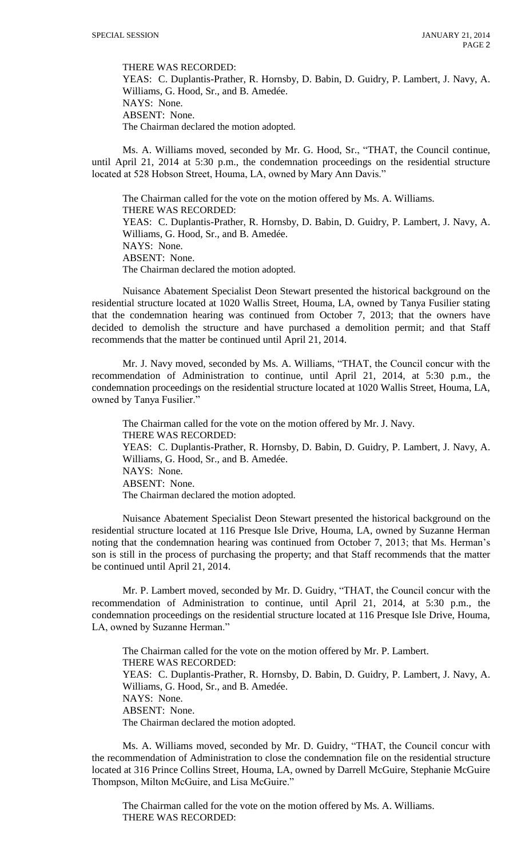THERE WAS RECORDED:

YEAS: C. Duplantis-Prather, R. Hornsby, D. Babin, D. Guidry, P. Lambert, J. Navy, A. Williams, G. Hood, Sr., and B. Amedée. NAYS: None. ABSENT: None. The Chairman declared the motion adopted.

Ms. A. Williams moved, seconded by Mr. G. Hood, Sr., "THAT, the Council continue, until April 21, 2014 at 5:30 p.m., the condemnation proceedings on the residential structure located at 528 Hobson Street, Houma, LA, owned by Mary Ann Davis."

The Chairman called for the vote on the motion offered by Ms. A. Williams. THERE WAS RECORDED: YEAS: C. Duplantis-Prather, R. Hornsby, D. Babin, D. Guidry, P. Lambert, J. Navy, A. Williams, G. Hood, Sr., and B. Amedée. NAYS: None. ABSENT: None. The Chairman declared the motion adopted.

Nuisance Abatement Specialist Deon Stewart presented the historical background on the residential structure located at 1020 Wallis Street, Houma, LA, owned by Tanya Fusilier stating that the condemnation hearing was continued from October 7, 2013; that the owners have decided to demolish the structure and have purchased a demolition permit; and that Staff recommends that the matter be continued until April 21, 2014.

Mr. J. Navy moved, seconded by Ms. A. Williams, "THAT, the Council concur with the recommendation of Administration to continue, until April 21, 2014, at 5:30 p.m., the condemnation proceedings on the residential structure located at 1020 Wallis Street, Houma, LA, owned by Tanya Fusilier."

The Chairman called for the vote on the motion offered by Mr. J. Navy. THERE WAS RECORDED: YEAS: C. Duplantis-Prather, R. Hornsby, D. Babin, D. Guidry, P. Lambert, J. Navy, A. Williams, G. Hood, Sr., and B. Amedée. NAYS: None. ABSENT: None. The Chairman declared the motion adopted.

Nuisance Abatement Specialist Deon Stewart presented the historical background on the residential structure located at 116 Presque Isle Drive, Houma, LA, owned by Suzanne Herman noting that the condemnation hearing was continued from October 7, 2013; that Ms. Herman's son is still in the process of purchasing the property; and that Staff recommends that the matter be continued until April 21, 2014.

Mr. P. Lambert moved, seconded by Mr. D. Guidry, "THAT, the Council concur with the recommendation of Administration to continue, until April 21, 2014, at 5:30 p.m., the condemnation proceedings on the residential structure located at 116 Presque Isle Drive, Houma, LA, owned by Suzanne Herman."

The Chairman called for the vote on the motion offered by Mr. P. Lambert. THERE WAS RECORDED: YEAS: C. Duplantis-Prather, R. Hornsby, D. Babin, D. Guidry, P. Lambert, J. Navy, A. Williams, G. Hood, Sr., and B. Amedée. NAYS: None. ABSENT: None. The Chairman declared the motion adopted.

Ms. A. Williams moved, seconded by Mr. D. Guidry, "THAT, the Council concur with the recommendation of Administration to close the condemnation file on the residential structure located at 316 Prince Collins Street, Houma, LA, owned by Darrell McGuire, Stephanie McGuire Thompson, Milton McGuire, and Lisa McGuire."

The Chairman called for the vote on the motion offered by Ms. A. Williams. THERE WAS RECORDED: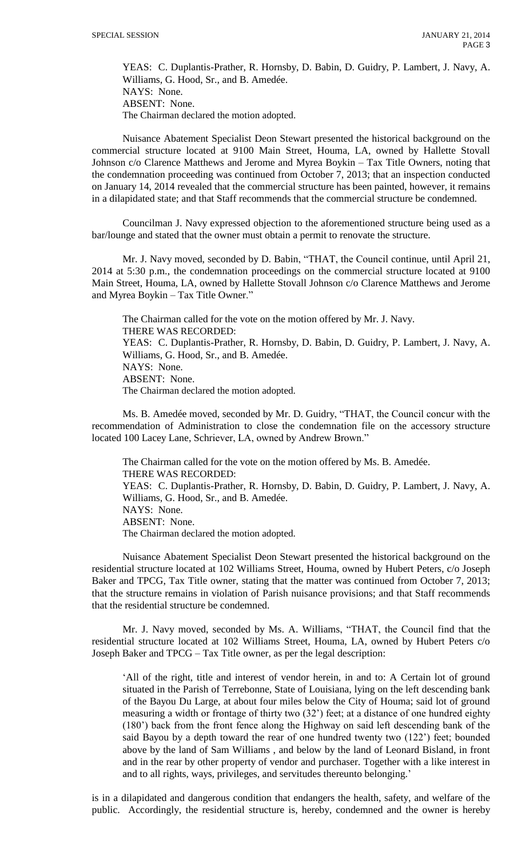YEAS: C. Duplantis-Prather, R. Hornsby, D. Babin, D. Guidry, P. Lambert, J. Navy, A. Williams, G. Hood, Sr., and B. Amedée. NAYS: None. ABSENT: None. The Chairman declared the motion adopted.

Nuisance Abatement Specialist Deon Stewart presented the historical background on the commercial structure located at 9100 Main Street, Houma, LA, owned by Hallette Stovall Johnson c/o Clarence Matthews and Jerome and Myrea Boykin – Tax Title Owners, noting that the condemnation proceeding was continued from October 7, 2013; that an inspection conducted on January 14, 2014 revealed that the commercial structure has been painted, however, it remains in a dilapidated state; and that Staff recommends that the commercial structure be condemned.

Councilman J. Navy expressed objection to the aforementioned structure being used as a bar/lounge and stated that the owner must obtain a permit to renovate the structure.

Mr. J. Navy moved, seconded by D. Babin, "THAT, the Council continue, until April 21, 2014 at 5:30 p.m., the condemnation proceedings on the commercial structure located at 9100 Main Street, Houma, LA, owned by Hallette Stovall Johnson c/o Clarence Matthews and Jerome and Myrea Boykin – Tax Title Owner."

The Chairman called for the vote on the motion offered by Mr. J. Navy. THERE WAS RECORDED: YEAS: C. Duplantis-Prather, R. Hornsby, D. Babin, D. Guidry, P. Lambert, J. Navy, A. Williams, G. Hood, Sr., and B. Amedée. NAYS: None. ABSENT: None. The Chairman declared the motion adopted.

Ms. B. Amedée moved, seconded by Mr. D. Guidry, "THAT, the Council concur with the recommendation of Administration to close the condemnation file on the accessory structure located 100 Lacey Lane, Schriever, LA, owned by Andrew Brown."

The Chairman called for the vote on the motion offered by Ms. B. Amedée. THERE WAS RECORDED: YEAS: C. Duplantis-Prather, R. Hornsby, D. Babin, D. Guidry, P. Lambert, J. Navy, A. Williams, G. Hood, Sr., and B. Amedée. NAYS: None. ABSENT: None. The Chairman declared the motion adopted.

Nuisance Abatement Specialist Deon Stewart presented the historical background on the residential structure located at 102 Williams Street, Houma, owned by Hubert Peters, c/o Joseph Baker and TPCG, Tax Title owner, stating that the matter was continued from October 7, 2013; that the structure remains in violation of Parish nuisance provisions; and that Staff recommends that the residential structure be condemned.

Mr. J. Navy moved, seconded by Ms. A. Williams, "THAT, the Council find that the residential structure located at 102 Williams Street, Houma, LA, owned by Hubert Peters c/o Joseph Baker and TPCG – Tax Title owner, as per the legal description:

'All of the right, title and interest of vendor herein, in and to: A Certain lot of ground situated in the Parish of Terrebonne, State of Louisiana, lying on the left descending bank of the Bayou Du Large, at about four miles below the City of Houma; said lot of ground measuring a width or frontage of thirty two (32') feet; at a distance of one hundred eighty (180') back from the front fence along the Highway on said left descending bank of the said Bayou by a depth toward the rear of one hundred twenty two (122') feet; bounded above by the land of Sam Williams , and below by the land of Leonard Bisland, in front and in the rear by other property of vendor and purchaser. Together with a like interest in and to all rights, ways, privileges, and servitudes thereunto belonging.'

is in a dilapidated and dangerous condition that endangers the health, safety, and welfare of the public. Accordingly, the residential structure is, hereby, condemned and the owner is hereby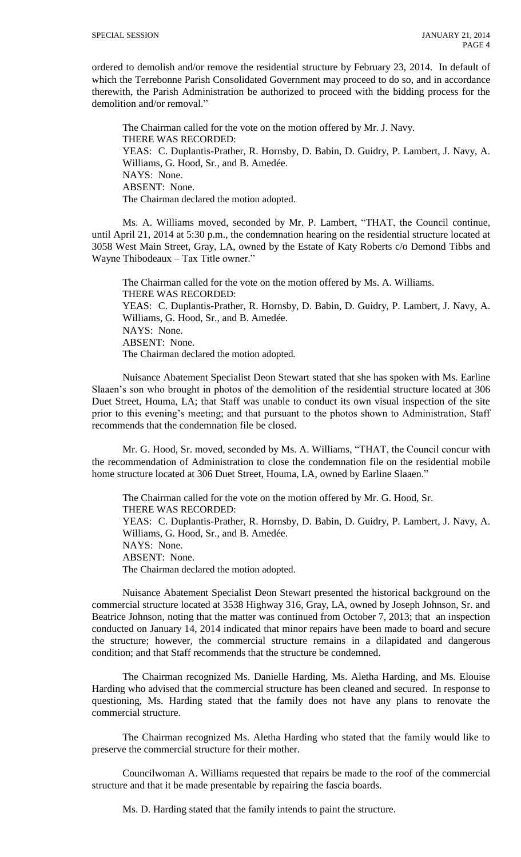ordered to demolish and/or remove the residential structure by February 23, 2014. In default of which the Terrebonne Parish Consolidated Government may proceed to do so, and in accordance therewith, the Parish Administration be authorized to proceed with the bidding process for the demolition and/or removal."

The Chairman called for the vote on the motion offered by Mr. J. Navy. THERE WAS RECORDED: YEAS: C. Duplantis-Prather, R. Hornsby, D. Babin, D. Guidry, P. Lambert, J. Navy, A. Williams, G. Hood, Sr., and B. Amedée. NAYS: None. ABSENT: None. The Chairman declared the motion adopted.

Ms. A. Williams moved, seconded by Mr. P. Lambert, "THAT, the Council continue, until April 21, 2014 at 5:30 p.m., the condemnation hearing on the residential structure located at 3058 West Main Street, Gray, LA, owned by the Estate of Katy Roberts c/o Demond Tibbs and Wayne Thibodeaux – Tax Title owner."

The Chairman called for the vote on the motion offered by Ms. A. Williams. THERE WAS RECORDED: YEAS: C. Duplantis-Prather, R. Hornsby, D. Babin, D. Guidry, P. Lambert, J. Navy, A. Williams, G. Hood, Sr., and B. Amedée. NAYS: None. ABSENT: None. The Chairman declared the motion adopted.

Nuisance Abatement Specialist Deon Stewart stated that she has spoken with Ms. Earline Slaaen's son who brought in photos of the demolition of the residential structure located at 306 Duet Street, Houma, LA; that Staff was unable to conduct its own visual inspection of the site prior to this evening's meeting; and that pursuant to the photos shown to Administration, Staff recommends that the condemnation file be closed.

Mr. G. Hood, Sr. moved, seconded by Ms. A. Williams, "THAT, the Council concur with the recommendation of Administration to close the condemnation file on the residential mobile home structure located at 306 Duet Street, Houma, LA, owned by Earline Slaaen."

The Chairman called for the vote on the motion offered by Mr. G. Hood, Sr. THERE WAS RECORDED: YEAS: C. Duplantis-Prather, R. Hornsby, D. Babin, D. Guidry, P. Lambert, J. Navy, A. Williams, G. Hood, Sr., and B. Amedée. NAYS: None. ABSENT: None. The Chairman declared the motion adopted.

Nuisance Abatement Specialist Deon Stewart presented the historical background on the commercial structure located at 3538 Highway 316, Gray, LA, owned by Joseph Johnson, Sr. and Beatrice Johnson, noting that the matter was continued from October 7, 2013; that an inspection conducted on January 14, 2014 indicated that minor repairs have been made to board and secure the structure; however, the commercial structure remains in a dilapidated and dangerous condition; and that Staff recommends that the structure be condemned.

The Chairman recognized Ms. Danielle Harding, Ms. Aletha Harding, and Ms. Elouise Harding who advised that the commercial structure has been cleaned and secured. In response to questioning, Ms. Harding stated that the family does not have any plans to renovate the commercial structure.

The Chairman recognized Ms. Aletha Harding who stated that the family would like to preserve the commercial structure for their mother.

Councilwoman A. Williams requested that repairs be made to the roof of the commercial structure and that it be made presentable by repairing the fascia boards.

Ms. D. Harding stated that the family intends to paint the structure.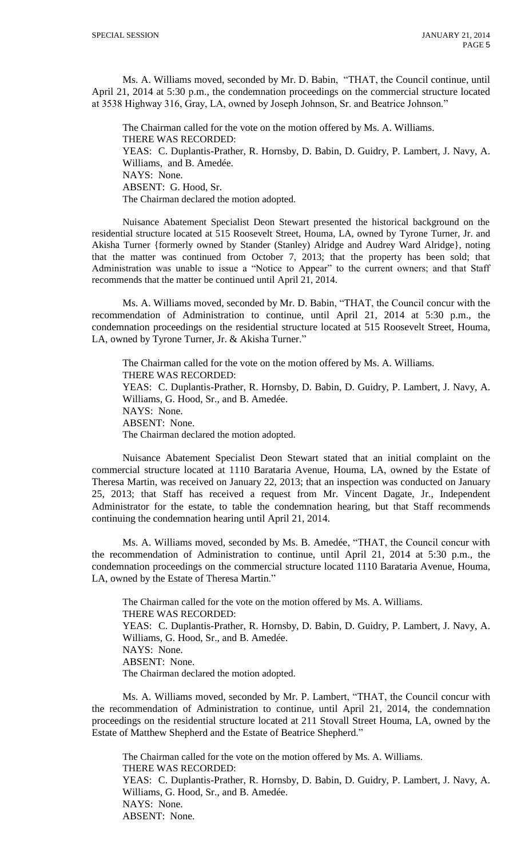Ms. A. Williams moved, seconded by Mr. D. Babin, "THAT, the Council continue, until April 21, 2014 at 5:30 p.m., the condemnation proceedings on the commercial structure located at 3538 Highway 316, Gray, LA, owned by Joseph Johnson, Sr. and Beatrice Johnson."

The Chairman called for the vote on the motion offered by Ms. A. Williams. THERE WAS RECORDED: YEAS: C. Duplantis-Prather, R. Hornsby, D. Babin, D. Guidry, P. Lambert, J. Navy, A. Williams, and B. Amedée. NAYS: None. ABSENT: G. Hood, Sr. The Chairman declared the motion adopted.

Nuisance Abatement Specialist Deon Stewart presented the historical background on the residential structure located at 515 Roosevelt Street, Houma, LA, owned by Tyrone Turner, Jr. and Akisha Turner {formerly owned by Stander (Stanley) Alridge and Audrey Ward Alridge}, noting that the matter was continued from October 7, 2013; that the property has been sold; that Administration was unable to issue a "Notice to Appear" to the current owners; and that Staff recommends that the matter be continued until April 21, 2014.

Ms. A. Williams moved, seconded by Mr. D. Babin, "THAT, the Council concur with the recommendation of Administration to continue, until April 21, 2014 at 5:30 p.m., the condemnation proceedings on the residential structure located at 515 Roosevelt Street, Houma, LA, owned by Tyrone Turner, Jr. & Akisha Turner."

The Chairman called for the vote on the motion offered by Ms. A. Williams. THERE WAS RECORDED: YEAS: C. Duplantis-Prather, R. Hornsby, D. Babin, D. Guidry, P. Lambert, J. Navy, A. Williams, G. Hood, Sr., and B. Amedée. NAYS: None. ABSENT: None. The Chairman declared the motion adopted.

Nuisance Abatement Specialist Deon Stewart stated that an initial complaint on the commercial structure located at 1110 Barataria Avenue, Houma, LA, owned by the Estate of Theresa Martin, was received on January 22, 2013; that an inspection was conducted on January 25, 2013; that Staff has received a request from Mr. Vincent Dagate, Jr., Independent Administrator for the estate, to table the condemnation hearing, but that Staff recommends continuing the condemnation hearing until April 21, 2014.

Ms. A. Williams moved, seconded by Ms. B. Amedée, "THAT, the Council concur with the recommendation of Administration to continue, until April 21, 2014 at 5:30 p.m., the condemnation proceedings on the commercial structure located 1110 Barataria Avenue, Houma, LA, owned by the Estate of Theresa Martin."

The Chairman called for the vote on the motion offered by Ms. A. Williams. THERE WAS RECORDED: YEAS: C. Duplantis-Prather, R. Hornsby, D. Babin, D. Guidry, P. Lambert, J. Navy, A. Williams, G. Hood, Sr., and B. Amedée. NAYS: None. ABSENT: None. The Chairman declared the motion adopted.

Ms. A. Williams moved, seconded by Mr. P. Lambert, "THAT, the Council concur with the recommendation of Administration to continue, until April 21, 2014, the condemnation proceedings on the residential structure located at 211 Stovall Street Houma, LA, owned by the Estate of Matthew Shepherd and the Estate of Beatrice Shepherd."

The Chairman called for the vote on the motion offered by Ms. A. Williams. THERE WAS RECORDED: YEAS: C. Duplantis-Prather, R. Hornsby, D. Babin, D. Guidry, P. Lambert, J. Navy, A. Williams, G. Hood, Sr., and B. Amedée. NAYS: None. ABSENT: None.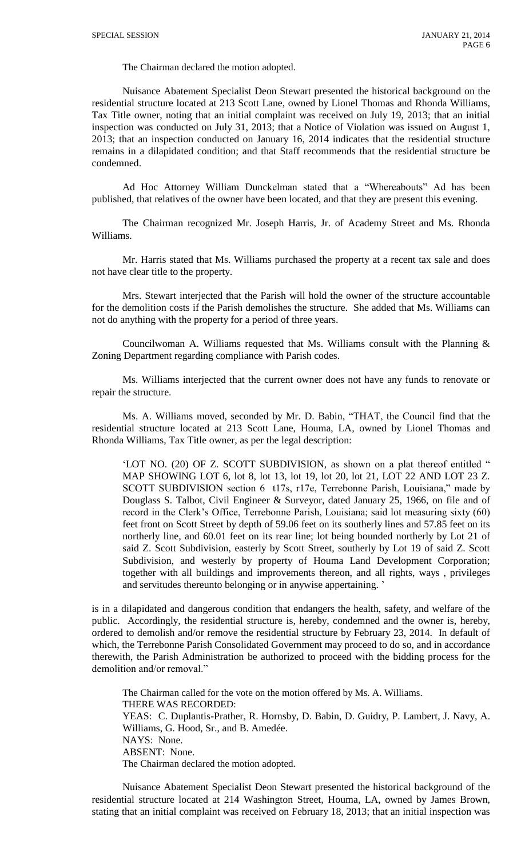The Chairman declared the motion adopted.

Nuisance Abatement Specialist Deon Stewart presented the historical background on the residential structure located at 213 Scott Lane, owned by Lionel Thomas and Rhonda Williams, Tax Title owner, noting that an initial complaint was received on July 19, 2013; that an initial inspection was conducted on July 31, 2013; that a Notice of Violation was issued on August 1, 2013; that an inspection conducted on January 16, 2014 indicates that the residential structure remains in a dilapidated condition; and that Staff recommends that the residential structure be condemned.

Ad Hoc Attorney William Dunckelman stated that a "Whereabouts" Ad has been published, that relatives of the owner have been located, and that they are present this evening.

The Chairman recognized Mr. Joseph Harris, Jr. of Academy Street and Ms. Rhonda Williams.

Mr. Harris stated that Ms. Williams purchased the property at a recent tax sale and does not have clear title to the property.

Mrs. Stewart interjected that the Parish will hold the owner of the structure accountable for the demolition costs if the Parish demolishes the structure. She added that Ms. Williams can not do anything with the property for a period of three years.

Councilwoman A. Williams requested that Ms. Williams consult with the Planning & Zoning Department regarding compliance with Parish codes.

Ms. Williams interjected that the current owner does not have any funds to renovate or repair the structure.

Ms. A. Williams moved, seconded by Mr. D. Babin, "THAT, the Council find that the residential structure located at 213 Scott Lane, Houma, LA, owned by Lionel Thomas and Rhonda Williams, Tax Title owner, as per the legal description:

'LOT NO. (20) OF Z. SCOTT SUBDIVISION, as shown on a plat thereof entitled " MAP SHOWING LOT 6, lot 8, lot 13, lot 19, lot 20, lot 21, LOT 22 AND LOT 23 Z. SCOTT SUBDIVISION section 6 t17s, r17e, Terrebonne Parish, Louisiana," made by Douglass S. Talbot, Civil Engineer & Surveyor, dated January 25, 1966, on file and of record in the Clerk's Office, Terrebonne Parish, Louisiana; said lot measuring sixty (60) feet front on Scott Street by depth of 59.06 feet on its southerly lines and 57.85 feet on its northerly line, and 60.01 feet on its rear line; lot being bounded northerly by Lot 21 of said Z. Scott Subdivision, easterly by Scott Street, southerly by Lot 19 of said Z. Scott Subdivision, and westerly by property of Houma Land Development Corporation; together with all buildings and improvements thereon, and all rights, ways , privileges and servitudes thereunto belonging or in anywise appertaining. '

is in a dilapidated and dangerous condition that endangers the health, safety, and welfare of the public. Accordingly, the residential structure is, hereby, condemned and the owner is, hereby, ordered to demolish and/or remove the residential structure by February 23, 2014. In default of which, the Terrebonne Parish Consolidated Government may proceed to do so, and in accordance therewith, the Parish Administration be authorized to proceed with the bidding process for the demolition and/or removal."

The Chairman called for the vote on the motion offered by Ms. A. Williams. THERE WAS RECORDED: YEAS: C. Duplantis-Prather, R. Hornsby, D. Babin, D. Guidry, P. Lambert, J. Navy, A. Williams, G. Hood, Sr., and B. Amedée. NAYS: None. ABSENT: None. The Chairman declared the motion adopted.

Nuisance Abatement Specialist Deon Stewart presented the historical background of the residential structure located at 214 Washington Street, Houma, LA, owned by James Brown, stating that an initial complaint was received on February 18, 2013; that an initial inspection was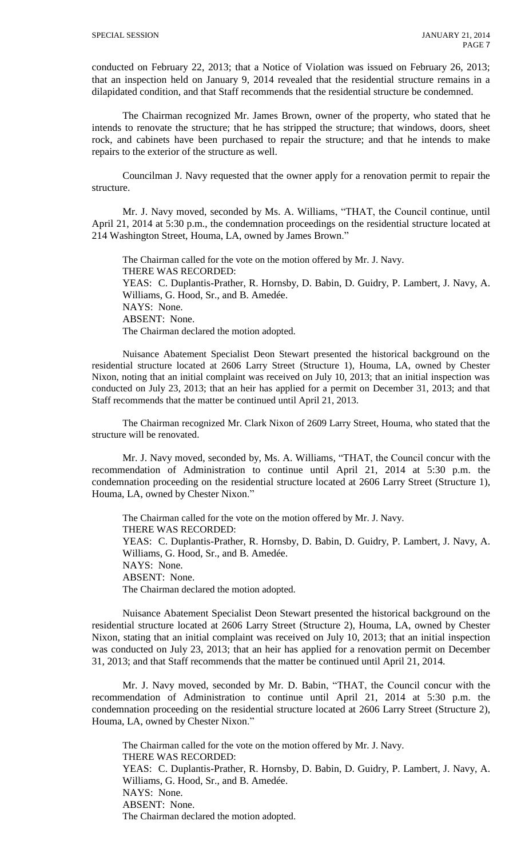conducted on February 22, 2013; that a Notice of Violation was issued on February 26, 2013; that an inspection held on January 9, 2014 revealed that the residential structure remains in a dilapidated condition, and that Staff recommends that the residential structure be condemned.

The Chairman recognized Mr. James Brown, owner of the property, who stated that he intends to renovate the structure; that he has stripped the structure; that windows, doors, sheet rock, and cabinets have been purchased to repair the structure; and that he intends to make repairs to the exterior of the structure as well.

Councilman J. Navy requested that the owner apply for a renovation permit to repair the structure.

Mr. J. Navy moved, seconded by Ms. A. Williams, "THAT, the Council continue, until April 21, 2014 at 5:30 p.m., the condemnation proceedings on the residential structure located at 214 Washington Street, Houma, LA, owned by James Brown."

The Chairman called for the vote on the motion offered by Mr. J. Navy. THERE WAS RECORDED: YEAS: C. Duplantis-Prather, R. Hornsby, D. Babin, D. Guidry, P. Lambert, J. Navy, A. Williams, G. Hood, Sr., and B. Amedée. NAYS: None. ABSENT: None. The Chairman declared the motion adopted.

Nuisance Abatement Specialist Deon Stewart presented the historical background on the residential structure located at 2606 Larry Street (Structure 1), Houma, LA, owned by Chester Nixon, noting that an initial complaint was received on July 10, 2013; that an initial inspection was conducted on July 23, 2013; that an heir has applied for a permit on December 31, 2013; and that Staff recommends that the matter be continued until April 21, 2013.

The Chairman recognized Mr. Clark Nixon of 2609 Larry Street, Houma, who stated that the structure will be renovated.

Mr. J. Navy moved, seconded by, Ms. A. Williams, "THAT, the Council concur with the recommendation of Administration to continue until April 21, 2014 at 5:30 p.m. the condemnation proceeding on the residential structure located at 2606 Larry Street (Structure 1), Houma, LA, owned by Chester Nixon."

The Chairman called for the vote on the motion offered by Mr. J. Navy. THERE WAS RECORDED: YEAS: C. Duplantis-Prather, R. Hornsby, D. Babin, D. Guidry, P. Lambert, J. Navy, A. Williams, G. Hood, Sr., and B. Amedée. NAYS: None. ABSENT: None. The Chairman declared the motion adopted.

Nuisance Abatement Specialist Deon Stewart presented the historical background on the residential structure located at 2606 Larry Street (Structure 2), Houma, LA, owned by Chester Nixon, stating that an initial complaint was received on July 10, 2013; that an initial inspection was conducted on July 23, 2013; that an heir has applied for a renovation permit on December 31, 2013; and that Staff recommends that the matter be continued until April 21, 2014.

Mr. J. Navy moved, seconded by Mr. D. Babin, "THAT, the Council concur with the recommendation of Administration to continue until April 21, 2014 at 5:30 p.m. the condemnation proceeding on the residential structure located at 2606 Larry Street (Structure 2), Houma, LA, owned by Chester Nixon."

The Chairman called for the vote on the motion offered by Mr. J. Navy. THERE WAS RECORDED: YEAS: C. Duplantis-Prather, R. Hornsby, D. Babin, D. Guidry, P. Lambert, J. Navy, A. Williams, G. Hood, Sr., and B. Amedée. NAYS: None. ABSENT: None. The Chairman declared the motion adopted.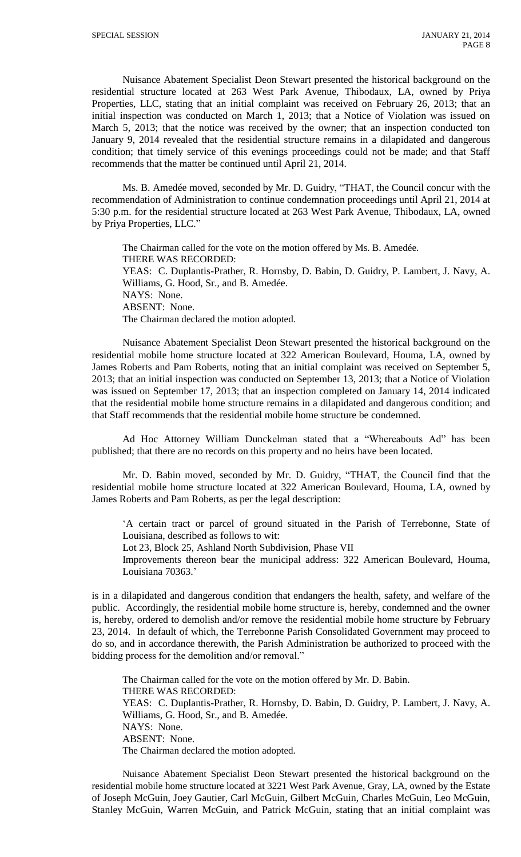Nuisance Abatement Specialist Deon Stewart presented the historical background on the residential structure located at 263 West Park Avenue, Thibodaux, LA, owned by Priya Properties, LLC, stating that an initial complaint was received on February 26, 2013; that an initial inspection was conducted on March 1, 2013; that a Notice of Violation was issued on March 5, 2013; that the notice was received by the owner; that an inspection conducted ton January 9, 2014 revealed that the residential structure remains in a dilapidated and dangerous condition; that timely service of this evenings proceedings could not be made; and that Staff recommends that the matter be continued until April 21, 2014.

Ms. B. Amedée moved, seconded by Mr. D. Guidry, "THAT, the Council concur with the recommendation of Administration to continue condemnation proceedings until April 21, 2014 at 5:30 p.m. for the residential structure located at 263 West Park Avenue, Thibodaux, LA, owned by Priya Properties, LLC."

The Chairman called for the vote on the motion offered by Ms. B. Amedée. THERE WAS RECORDED: YEAS: C. Duplantis-Prather, R. Hornsby, D. Babin, D. Guidry, P. Lambert, J. Navy, A. Williams, G. Hood, Sr., and B. Amedée. NAYS: None. ABSENT: None. The Chairman declared the motion adopted.

Nuisance Abatement Specialist Deon Stewart presented the historical background on the residential mobile home structure located at 322 American Boulevard, Houma, LA, owned by James Roberts and Pam Roberts, noting that an initial complaint was received on September 5, 2013; that an initial inspection was conducted on September 13, 2013; that a Notice of Violation was issued on September 17, 2013; that an inspection completed on January 14, 2014 indicated that the residential mobile home structure remains in a dilapidated and dangerous condition; and that Staff recommends that the residential mobile home structure be condemned.

Ad Hoc Attorney William Dunckelman stated that a "Whereabouts Ad" has been published; that there are no records on this property and no heirs have been located.

Mr. D. Babin moved, seconded by Mr. D. Guidry, "THAT, the Council find that the residential mobile home structure located at 322 American Boulevard, Houma, LA, owned by James Roberts and Pam Roberts, as per the legal description:

'A certain tract or parcel of ground situated in the Parish of Terrebonne, State of Louisiana, described as follows to wit:

Lot 23, Block 25, Ashland North Subdivision, Phase VII

Improvements thereon bear the municipal address: 322 American Boulevard, Houma, Louisiana 70363.'

is in a dilapidated and dangerous condition that endangers the health, safety, and welfare of the public. Accordingly, the residential mobile home structure is, hereby, condemned and the owner is, hereby, ordered to demolish and/or remove the residential mobile home structure by February 23, 2014. In default of which, the Terrebonne Parish Consolidated Government may proceed to do so, and in accordance therewith, the Parish Administration be authorized to proceed with the bidding process for the demolition and/or removal."

The Chairman called for the vote on the motion offered by Mr. D. Babin. THERE WAS RECORDED: YEAS: C. Duplantis-Prather, R. Hornsby, D. Babin, D. Guidry, P. Lambert, J. Navy, A. Williams, G. Hood, Sr., and B. Amedée. NAYS: None. ABSENT: None. The Chairman declared the motion adopted.

Nuisance Abatement Specialist Deon Stewart presented the historical background on the residential mobile home structure located at 3221 West Park Avenue, Gray, LA, owned by the Estate of Joseph McGuin, Joey Gautier, Carl McGuin, Gilbert McGuin, Charles McGuin, Leo McGuin, Stanley McGuin, Warren McGuin, and Patrick McGuin, stating that an initial complaint was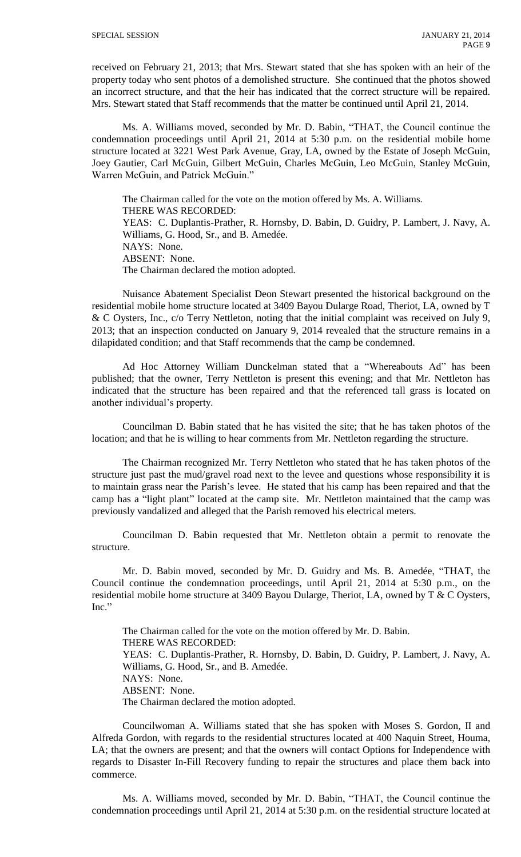received on February 21, 2013; that Mrs. Stewart stated that she has spoken with an heir of the property today who sent photos of a demolished structure. She continued that the photos showed an incorrect structure, and that the heir has indicated that the correct structure will be repaired. Mrs. Stewart stated that Staff recommends that the matter be continued until April 21, 2014.

Ms. A. Williams moved, seconded by Mr. D. Babin, "THAT, the Council continue the condemnation proceedings until April 21, 2014 at 5:30 p.m. on the residential mobile home structure located at 3221 West Park Avenue, Gray, LA, owned by the Estate of Joseph McGuin, Joey Gautier, Carl McGuin, Gilbert McGuin, Charles McGuin, Leo McGuin, Stanley McGuin, Warren McGuin, and Patrick McGuin."

The Chairman called for the vote on the motion offered by Ms. A. Williams. THERE WAS RECORDED: YEAS: C. Duplantis-Prather, R. Hornsby, D. Babin, D. Guidry, P. Lambert, J. Navy, A. Williams, G. Hood, Sr., and B. Amedée. NAYS: None. ABSENT: None. The Chairman declared the motion adopted.

Nuisance Abatement Specialist Deon Stewart presented the historical background on the residential mobile home structure located at 3409 Bayou Dularge Road, Theriot, LA, owned by T & C Oysters, Inc., c/o Terry Nettleton, noting that the initial complaint was received on July 9, 2013; that an inspection conducted on January 9, 2014 revealed that the structure remains in a dilapidated condition; and that Staff recommends that the camp be condemned.

Ad Hoc Attorney William Dunckelman stated that a "Whereabouts Ad" has been published; that the owner, Terry Nettleton is present this evening; and that Mr. Nettleton has indicated that the structure has been repaired and that the referenced tall grass is located on another individual's property.

Councilman D. Babin stated that he has visited the site; that he has taken photos of the location; and that he is willing to hear comments from Mr. Nettleton regarding the structure.

The Chairman recognized Mr. Terry Nettleton who stated that he has taken photos of the structure just past the mud/gravel road next to the levee and questions whose responsibility it is to maintain grass near the Parish's levee. He stated that his camp has been repaired and that the camp has a "light plant" located at the camp site. Mr. Nettleton maintained that the camp was previously vandalized and alleged that the Parish removed his electrical meters.

Councilman D. Babin requested that Mr. Nettleton obtain a permit to renovate the structure.

Mr. D. Babin moved, seconded by Mr. D. Guidry and Ms. B. Amedée, "THAT, the Council continue the condemnation proceedings, until April 21, 2014 at 5:30 p.m., on the residential mobile home structure at 3409 Bayou Dularge, Theriot, LA, owned by T  $&$  C Oysters, Inc."

The Chairman called for the vote on the motion offered by Mr. D. Babin. THERE WAS RECORDED: YEAS: C. Duplantis-Prather, R. Hornsby, D. Babin, D. Guidry, P. Lambert, J. Navy, A. Williams, G. Hood, Sr., and B. Amedée. NAYS: None. ABSENT: None. The Chairman declared the motion adopted.

Councilwoman A. Williams stated that she has spoken with Moses S. Gordon, II and Alfreda Gordon, with regards to the residential structures located at 400 Naquin Street, Houma, LA; that the owners are present; and that the owners will contact Options for Independence with regards to Disaster In-Fill Recovery funding to repair the structures and place them back into commerce.

Ms. A. Williams moved, seconded by Mr. D. Babin, "THAT, the Council continue the condemnation proceedings until April 21, 2014 at 5:30 p.m. on the residential structure located at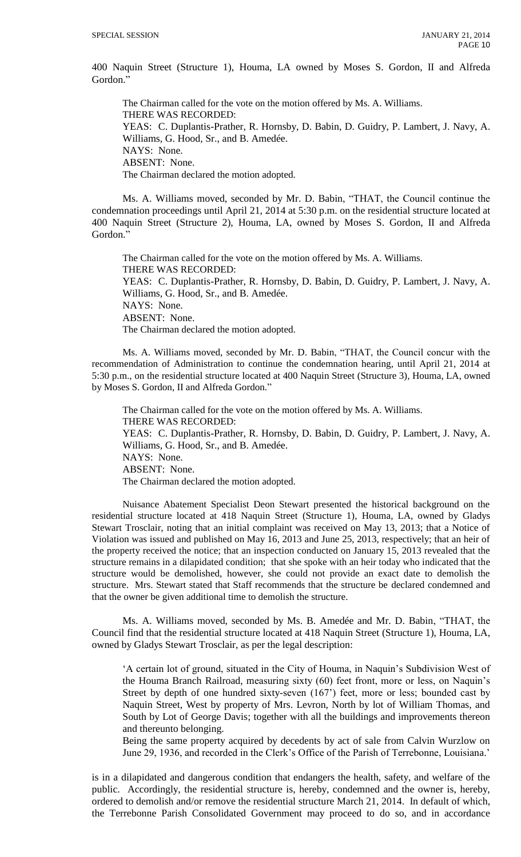400 Naquin Street (Structure 1), Houma, LA owned by Moses S. Gordon, II and Alfreda Gordon."

The Chairman called for the vote on the motion offered by Ms. A. Williams. THERE WAS RECORDED: YEAS: C. Duplantis-Prather, R. Hornsby, D. Babin, D. Guidry, P. Lambert, J. Navy, A. Williams, G. Hood, Sr., and B. Amedée. NAYS: None. ABSENT: None. The Chairman declared the motion adopted.

Ms. A. Williams moved, seconded by Mr. D. Babin, "THAT, the Council continue the condemnation proceedings until April 21, 2014 at 5:30 p.m. on the residential structure located at 400 Naquin Street (Structure 2), Houma, LA, owned by Moses S. Gordon, II and Alfreda Gordon."

The Chairman called for the vote on the motion offered by Ms. A. Williams. THERE WAS RECORDED: YEAS: C. Duplantis-Prather, R. Hornsby, D. Babin, D. Guidry, P. Lambert, J. Navy, A. Williams, G. Hood, Sr., and B. Amedée. NAYS: None. ABSENT: None. The Chairman declared the motion adopted.

Ms. A. Williams moved, seconded by Mr. D. Babin, "THAT, the Council concur with the recommendation of Administration to continue the condemnation hearing, until April 21, 2014 at 5:30 p.m., on the residential structure located at 400 Naquin Street (Structure 3), Houma, LA, owned by Moses S. Gordon, II and Alfreda Gordon."

The Chairman called for the vote on the motion offered by Ms. A. Williams. THERE WAS RECORDED: YEAS: C. Duplantis-Prather, R. Hornsby, D. Babin, D. Guidry, P. Lambert, J. Navy, A. Williams, G. Hood, Sr., and B. Amedée. NAYS: None. ABSENT: None. The Chairman declared the motion adopted.

Nuisance Abatement Specialist Deon Stewart presented the historical background on the residential structure located at 418 Naquin Street (Structure 1), Houma, LA, owned by Gladys Stewart Trosclair, noting that an initial complaint was received on May 13, 2013; that a Notice of Violation was issued and published on May 16, 2013 and June 25, 2013, respectively; that an heir of the property received the notice; that an inspection conducted on January 15, 2013 revealed that the structure remains in a dilapidated condition; that she spoke with an heir today who indicated that the structure would be demolished, however, she could not provide an exact date to demolish the structure. Mrs. Stewart stated that Staff recommends that the structure be declared condemned and that the owner be given additional time to demolish the structure.

Ms. A. Williams moved, seconded by Ms. B. Amedée and Mr. D. Babin, "THAT, the Council find that the residential structure located at 418 Naquin Street (Structure 1), Houma, LA, owned by Gladys Stewart Trosclair, as per the legal description:

'A certain lot of ground, situated in the City of Houma, in Naquin's Subdivision West of the Houma Branch Railroad, measuring sixty (60) feet front, more or less, on Naquin's Street by depth of one hundred sixty-seven (167') feet, more or less; bounded cast by Naquin Street, West by property of Mrs. Levron, North by lot of William Thomas, and South by Lot of George Davis; together with all the buildings and improvements thereon and thereunto belonging.

Being the same property acquired by decedents by act of sale from Calvin Wurzlow on June 29, 1936, and recorded in the Clerk's Office of the Parish of Terrebonne, Louisiana.'

is in a dilapidated and dangerous condition that endangers the health, safety, and welfare of the public. Accordingly, the residential structure is, hereby, condemned and the owner is, hereby, ordered to demolish and/or remove the residential structure March 21, 2014. In default of which, the Terrebonne Parish Consolidated Government may proceed to do so, and in accordance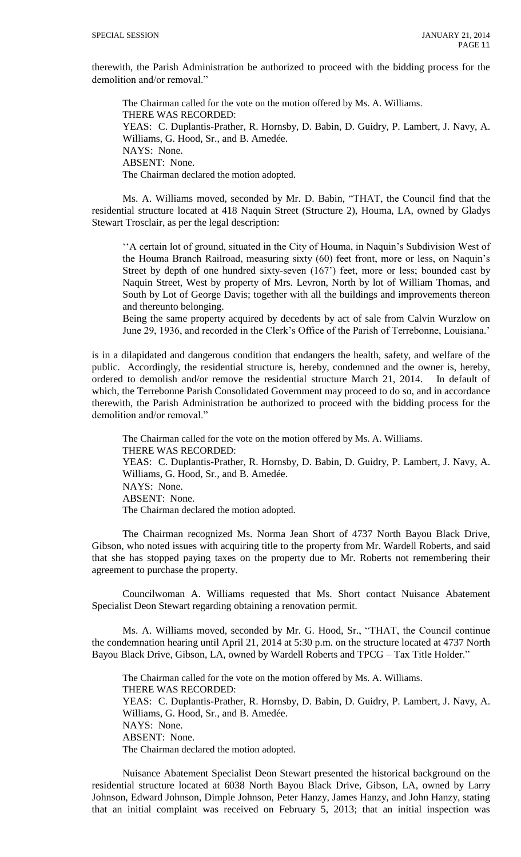therewith, the Parish Administration be authorized to proceed with the bidding process for the demolition and/or removal."

The Chairman called for the vote on the motion offered by Ms. A. Williams. THERE WAS RECORDED: YEAS: C. Duplantis-Prather, R. Hornsby, D. Babin, D. Guidry, P. Lambert, J. Navy, A. Williams, G. Hood, Sr., and B. Amedée. NAYS: None. ABSENT: None. The Chairman declared the motion adopted.

Ms. A. Williams moved, seconded by Mr. D. Babin, "THAT, the Council find that the residential structure located at 418 Naquin Street (Structure 2), Houma, LA, owned by Gladys Stewart Trosclair, as per the legal description:

''A certain lot of ground, situated in the City of Houma, in Naquin's Subdivision West of the Houma Branch Railroad, measuring sixty (60) feet front, more or less, on Naquin's Street by depth of one hundred sixty-seven (167') feet, more or less; bounded cast by Naquin Street, West by property of Mrs. Levron, North by lot of William Thomas, and South by Lot of George Davis; together with all the buildings and improvements thereon and thereunto belonging.

Being the same property acquired by decedents by act of sale from Calvin Wurzlow on June 29, 1936, and recorded in the Clerk's Office of the Parish of Terrebonne, Louisiana.'

is in a dilapidated and dangerous condition that endangers the health, safety, and welfare of the public. Accordingly, the residential structure is, hereby, condemned and the owner is, hereby, ordered to demolish and/or remove the residential structure March 21, 2014. In default of which, the Terrebonne Parish Consolidated Government may proceed to do so, and in accordance therewith, the Parish Administration be authorized to proceed with the bidding process for the demolition and/or removal."

The Chairman called for the vote on the motion offered by Ms. A. Williams. THERE WAS RECORDED: YEAS: C. Duplantis-Prather, R. Hornsby, D. Babin, D. Guidry, P. Lambert, J. Navy, A. Williams, G. Hood, Sr., and B. Amedée. NAYS: None. ABSENT: None. The Chairman declared the motion adopted.

The Chairman recognized Ms. Norma Jean Short of 4737 North Bayou Black Drive, Gibson, who noted issues with acquiring title to the property from Mr. Wardell Roberts, and said that she has stopped paying taxes on the property due to Mr. Roberts not remembering their agreement to purchase the property.

Councilwoman A. Williams requested that Ms. Short contact Nuisance Abatement Specialist Deon Stewart regarding obtaining a renovation permit.

Ms. A. Williams moved, seconded by Mr. G. Hood, Sr., "THAT, the Council continue the condemnation hearing until April 21, 2014 at 5:30 p.m. on the structure located at 4737 North Bayou Black Drive, Gibson, LA, owned by Wardell Roberts and TPCG – Tax Title Holder."

The Chairman called for the vote on the motion offered by Ms. A. Williams. THERE WAS RECORDED: YEAS: C. Duplantis-Prather, R. Hornsby, D. Babin, D. Guidry, P. Lambert, J. Navy, A. Williams, G. Hood, Sr., and B. Amedée. NAYS: None. ABSENT: None. The Chairman declared the motion adopted.

Nuisance Abatement Specialist Deon Stewart presented the historical background on the residential structure located at 6038 North Bayou Black Drive, Gibson, LA, owned by Larry Johnson, Edward Johnson, Dimple Johnson, Peter Hanzy, James Hanzy, and John Hanzy, stating that an initial complaint was received on February 5, 2013; that an initial inspection was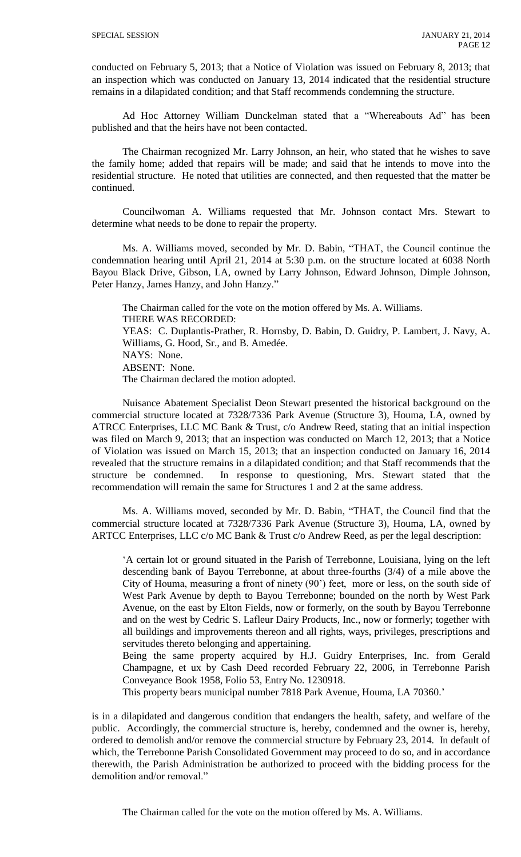conducted on February 5, 2013; that a Notice of Violation was issued on February 8, 2013; that an inspection which was conducted on January 13, 2014 indicated that the residential structure remains in a dilapidated condition; and that Staff recommends condemning the structure.

Ad Hoc Attorney William Dunckelman stated that a "Whereabouts Ad" has been published and that the heirs have not been contacted.

The Chairman recognized Mr. Larry Johnson, an heir, who stated that he wishes to save the family home; added that repairs will be made; and said that he intends to move into the residential structure. He noted that utilities are connected, and then requested that the matter be continued.

Councilwoman A. Williams requested that Mr. Johnson contact Mrs. Stewart to determine what needs to be done to repair the property.

Ms. A. Williams moved, seconded by Mr. D. Babin, "THAT, the Council continue the condemnation hearing until April 21, 2014 at 5:30 p.m. on the structure located at 6038 North Bayou Black Drive, Gibson, LA, owned by Larry Johnson, Edward Johnson, Dimple Johnson, Peter Hanzy, James Hanzy, and John Hanzy."

The Chairman called for the vote on the motion offered by Ms. A. Williams. THERE WAS RECORDED: YEAS: C. Duplantis-Prather, R. Hornsby, D. Babin, D. Guidry, P. Lambert, J. Navy, A. Williams, G. Hood, Sr., and B. Amedée. NAYS: None. ABSENT: None. The Chairman declared the motion adopted.

Nuisance Abatement Specialist Deon Stewart presented the historical background on the commercial structure located at 7328/7336 Park Avenue (Structure 3), Houma, LA, owned by ATRCC Enterprises, LLC MC Bank & Trust, c/o Andrew Reed, stating that an initial inspection was filed on March 9, 2013; that an inspection was conducted on March 12, 2013; that a Notice of Violation was issued on March 15, 2013; that an inspection conducted on January 16, 2014 revealed that the structure remains in a dilapidated condition; and that Staff recommends that the structure be condemned. In response to questioning, Mrs. Stewart stated that the recommendation will remain the same for Structures 1 and 2 at the same address.

Ms. A. Williams moved, seconded by Mr. D. Babin, "THAT, the Council find that the commercial structure located at 7328/7336 Park Avenue (Structure 3), Houma, LA, owned by ARTCC Enterprises, LLC c/o MC Bank & Trust c/o Andrew Reed, as per the legal description:

'A certain lot or ground situated in the Parish of Terrebonne, Louisiana, lying on the left descending bank of Bayou Terrebonne, at about three-fourths (3/4) of a mile above the City of Houma, measuring a front of ninety (90') feet, more or less, on the south side of West Park Avenue by depth to Bayou Terrebonne; bounded on the north by West Park Avenue, on the east by Elton Fields, now or formerly, on the south by Bayou Terrebonne and on the west by Cedric S. Lafleur Dairy Products, Inc., now or formerly; together with all buildings and improvements thereon and all rights, ways, privileges, prescriptions and servitudes thereto belonging and appertaining.

Being the same property acquired by H.J. Guidry Enterprises, Inc. from Gerald Champagne, et ux by Cash Deed recorded February 22, 2006, in Terrebonne Parish Conveyance Book 1958, Folio 53, Entry No. 1230918.

This property bears municipal number 7818 Park Avenue, Houma, LA 70360.'

is in a dilapidated and dangerous condition that endangers the health, safety, and welfare of the public. Accordingly, the commercial structure is, hereby, condemned and the owner is, hereby, ordered to demolish and/or remove the commercial structure by February 23, 2014. In default of which, the Terrebonne Parish Consolidated Government may proceed to do so, and in accordance therewith, the Parish Administration be authorized to proceed with the bidding process for the demolition and/or removal."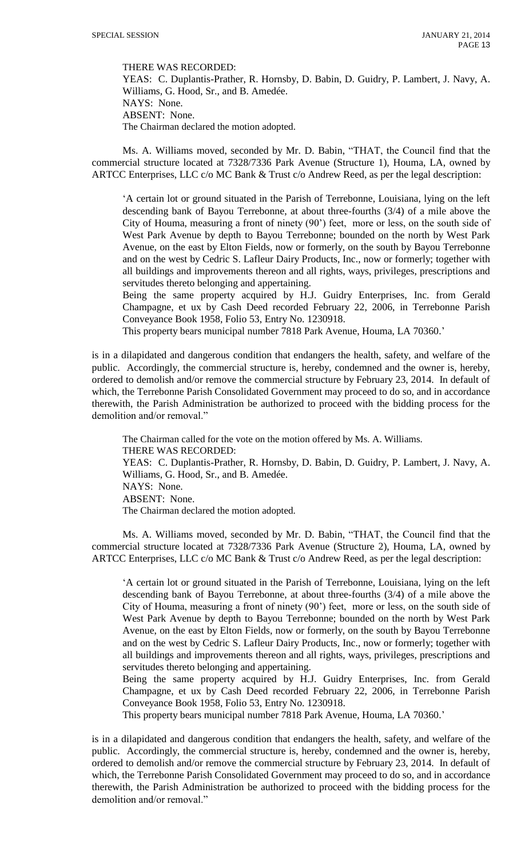THERE WAS RECORDED:

YEAS: C. Duplantis-Prather, R. Hornsby, D. Babin, D. Guidry, P. Lambert, J. Navy, A. Williams, G. Hood, Sr., and B. Amedée. NAYS: None. ABSENT: None. The Chairman declared the motion adopted.

Ms. A. Williams moved, seconded by Mr. D. Babin, "THAT, the Council find that the commercial structure located at 7328/7336 Park Avenue (Structure 1), Houma, LA, owned by ARTCC Enterprises, LLC c/o MC Bank & Trust c/o Andrew Reed, as per the legal description:

'A certain lot or ground situated in the Parish of Terrebonne, Louisiana, lying on the left descending bank of Bayou Terrebonne, at about three-fourths (3/4) of a mile above the City of Houma, measuring a front of ninety (90') feet, more or less, on the south side of West Park Avenue by depth to Bayou Terrebonne; bounded on the north by West Park Avenue, on the east by Elton Fields, now or formerly, on the south by Bayou Terrebonne and on the west by Cedric S. Lafleur Dairy Products, Inc., now or formerly; together with all buildings and improvements thereon and all rights, ways, privileges, prescriptions and servitudes thereto belonging and appertaining.

Being the same property acquired by H.J. Guidry Enterprises, Inc. from Gerald Champagne, et ux by Cash Deed recorded February 22, 2006, in Terrebonne Parish Conveyance Book 1958, Folio 53, Entry No. 1230918.

This property bears municipal number 7818 Park Avenue, Houma, LA 70360.'

is in a dilapidated and dangerous condition that endangers the health, safety, and welfare of the public. Accordingly, the commercial structure is, hereby, condemned and the owner is, hereby, ordered to demolish and/or remove the commercial structure by February 23, 2014. In default of which, the Terrebonne Parish Consolidated Government may proceed to do so, and in accordance therewith, the Parish Administration be authorized to proceed with the bidding process for the demolition and/or removal."

The Chairman called for the vote on the motion offered by Ms. A. Williams. THERE WAS RECORDED: YEAS: C. Duplantis-Prather, R. Hornsby, D. Babin, D. Guidry, P. Lambert, J. Navy, A. Williams, G. Hood, Sr., and B. Amedée. NAYS: None. ABSENT: None. The Chairman declared the motion adopted.

Ms. A. Williams moved, seconded by Mr. D. Babin, "THAT, the Council find that the commercial structure located at 7328/7336 Park Avenue (Structure 2), Houma, LA, owned by ARTCC Enterprises, LLC c/o MC Bank & Trust c/o Andrew Reed, as per the legal description:

'A certain lot or ground situated in the Parish of Terrebonne, Louisiana, lying on the left descending bank of Bayou Terrebonne, at about three-fourths (3/4) of a mile above the City of Houma, measuring a front of ninety (90') feet, more or less, on the south side of West Park Avenue by depth to Bayou Terrebonne; bounded on the north by West Park Avenue, on the east by Elton Fields, now or formerly, on the south by Bayou Terrebonne and on the west by Cedric S. Lafleur Dairy Products, Inc., now or formerly; together with all buildings and improvements thereon and all rights, ways, privileges, prescriptions and servitudes thereto belonging and appertaining.

Being the same property acquired by H.J. Guidry Enterprises, Inc. from Gerald Champagne, et ux by Cash Deed recorded February 22, 2006, in Terrebonne Parish Conveyance Book 1958, Folio 53, Entry No. 1230918.

This property bears municipal number 7818 Park Avenue, Houma, LA 70360.'

is in a dilapidated and dangerous condition that endangers the health, safety, and welfare of the public. Accordingly, the commercial structure is, hereby, condemned and the owner is, hereby, ordered to demolish and/or remove the commercial structure by February 23, 2014. In default of which, the Terrebonne Parish Consolidated Government may proceed to do so, and in accordance therewith, the Parish Administration be authorized to proceed with the bidding process for the demolition and/or removal."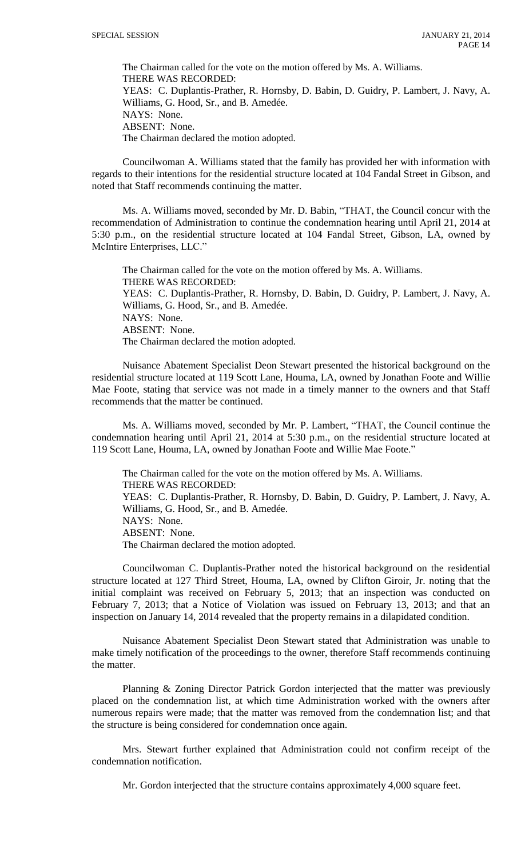The Chairman called for the vote on the motion offered by Ms. A. Williams. THERE WAS RECORDED: YEAS: C. Duplantis-Prather, R. Hornsby, D. Babin, D. Guidry, P. Lambert, J. Navy, A. Williams, G. Hood, Sr., and B. Amedée. NAYS: None. ABSENT: None. The Chairman declared the motion adopted.

Councilwoman A. Williams stated that the family has provided her with information with regards to their intentions for the residential structure located at 104 Fandal Street in Gibson, and noted that Staff recommends continuing the matter.

Ms. A. Williams moved, seconded by Mr. D. Babin, "THAT, the Council concur with the recommendation of Administration to continue the condemnation hearing until April 21, 2014 at 5:30 p.m., on the residential structure located at 104 Fandal Street, Gibson, LA, owned by McIntire Enterprises, LLC."

The Chairman called for the vote on the motion offered by Ms. A. Williams. THERE WAS RECORDED: YEAS: C. Duplantis-Prather, R. Hornsby, D. Babin, D. Guidry, P. Lambert, J. Navy, A. Williams, G. Hood, Sr., and B. Amedée. NAYS: None. ABSENT: None. The Chairman declared the motion adopted.

Nuisance Abatement Specialist Deon Stewart presented the historical background on the residential structure located at 119 Scott Lane, Houma, LA, owned by Jonathan Foote and Willie Mae Foote, stating that service was not made in a timely manner to the owners and that Staff recommends that the matter be continued.

Ms. A. Williams moved, seconded by Mr. P. Lambert, "THAT, the Council continue the condemnation hearing until April 21, 2014 at 5:30 p.m., on the residential structure located at 119 Scott Lane, Houma, LA, owned by Jonathan Foote and Willie Mae Foote."

The Chairman called for the vote on the motion offered by Ms. A. Williams. THERE WAS RECORDED: YEAS: C. Duplantis-Prather, R. Hornsby, D. Babin, D. Guidry, P. Lambert, J. Navy, A. Williams, G. Hood, Sr., and B. Amedée. NAYS: None. ABSENT: None. The Chairman declared the motion adopted.

Councilwoman C. Duplantis-Prather noted the historical background on the residential structure located at 127 Third Street, Houma, LA, owned by Clifton Giroir, Jr. noting that the initial complaint was received on February 5, 2013; that an inspection was conducted on February 7, 2013; that a Notice of Violation was issued on February 13, 2013; and that an inspection on January 14, 2014 revealed that the property remains in a dilapidated condition.

Nuisance Abatement Specialist Deon Stewart stated that Administration was unable to make timely notification of the proceedings to the owner, therefore Staff recommends continuing the matter.

Planning & Zoning Director Patrick Gordon interjected that the matter was previously placed on the condemnation list, at which time Administration worked with the owners after numerous repairs were made; that the matter was removed from the condemnation list; and that the structure is being considered for condemnation once again.

Mrs. Stewart further explained that Administration could not confirm receipt of the condemnation notification.

Mr. Gordon interjected that the structure contains approximately 4,000 square feet.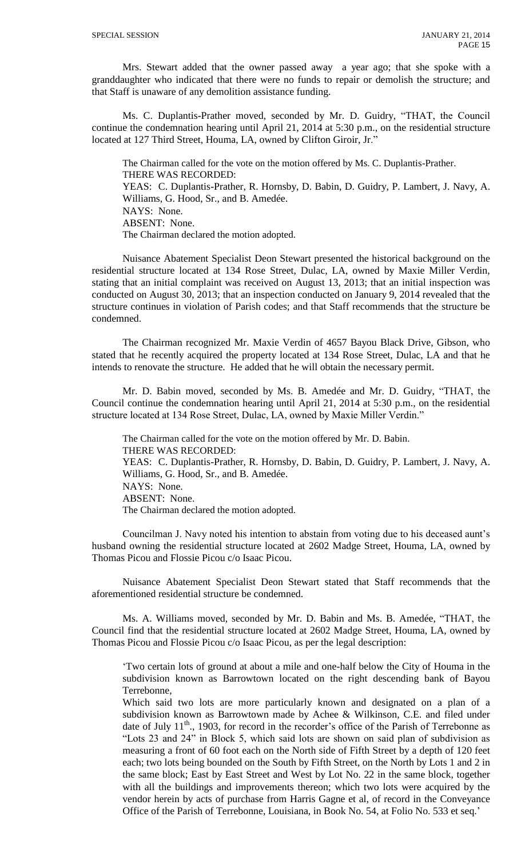Mrs. Stewart added that the owner passed away a year ago; that she spoke with a granddaughter who indicated that there were no funds to repair or demolish the structure; and that Staff is unaware of any demolition assistance funding.

Ms. C. Duplantis-Prather moved, seconded by Mr. D. Guidry, "THAT, the Council continue the condemnation hearing until April 21, 2014 at 5:30 p.m., on the residential structure located at 127 Third Street, Houma, LA, owned by Clifton Giroir, Jr."

The Chairman called for the vote on the motion offered by Ms. C. Duplantis-Prather. THERE WAS RECORDED: YEAS: C. Duplantis-Prather, R. Hornsby, D. Babin, D. Guidry, P. Lambert, J. Navy, A. Williams, G. Hood, Sr., and B. Amedée. NAYS: None. ABSENT: None. The Chairman declared the motion adopted.

Nuisance Abatement Specialist Deon Stewart presented the historical background on the residential structure located at 134 Rose Street, Dulac, LA, owned by Maxie Miller Verdin, stating that an initial complaint was received on August 13, 2013; that an initial inspection was conducted on August 30, 2013; that an inspection conducted on January 9, 2014 revealed that the structure continues in violation of Parish codes; and that Staff recommends that the structure be condemned.

The Chairman recognized Mr. Maxie Verdin of 4657 Bayou Black Drive, Gibson, who stated that he recently acquired the property located at 134 Rose Street, Dulac, LA and that he intends to renovate the structure. He added that he will obtain the necessary permit.

Mr. D. Babin moved, seconded by Ms. B. Amedée and Mr. D. Guidry, "THAT, the Council continue the condemnation hearing until April 21, 2014 at 5:30 p.m., on the residential structure located at 134 Rose Street, Dulac, LA, owned by Maxie Miller Verdin."

The Chairman called for the vote on the motion offered by Mr. D. Babin. THERE WAS RECORDED: YEAS: C. Duplantis-Prather, R. Hornsby, D. Babin, D. Guidry, P. Lambert, J. Navy, A. Williams, G. Hood, Sr., and B. Amedée. NAYS: None. ABSENT: None. The Chairman declared the motion adopted.

Councilman J. Navy noted his intention to abstain from voting due to his deceased aunt's husband owning the residential structure located at 2602 Madge Street, Houma, LA, owned by Thomas Picou and Flossie Picou c/o Isaac Picou.

Nuisance Abatement Specialist Deon Stewart stated that Staff recommends that the aforementioned residential structure be condemned.

Ms. A. Williams moved, seconded by Mr. D. Babin and Ms. B. Amedée, "THAT, the Council find that the residential structure located at 2602 Madge Street, Houma, LA, owned by Thomas Picou and Flossie Picou c/o Isaac Picou, as per the legal description:

'Two certain lots of ground at about a mile and one-half below the City of Houma in the subdivision known as Barrowtown located on the right descending bank of Bayou Terrebonne,

Which said two lots are more particularly known and designated on a plan of a subdivision known as Barrowtown made by Achee & Wilkinson, C.E. and filed under date of July  $11<sup>th</sup>$ , 1903, for record in the recorder's office of the Parish of Terrebonne as "Lots 23 and 24" in Block 5, which said lots are shown on said plan of subdivision as measuring a front of 60 foot each on the North side of Fifth Street by a depth of 120 feet each; two lots being bounded on the South by Fifth Street, on the North by Lots 1 and 2 in the same block; East by East Street and West by Lot No. 22 in the same block, together with all the buildings and improvements thereon; which two lots were acquired by the vendor herein by acts of purchase from Harris Gagne et al, of record in the Conveyance Office of the Parish of Terrebonne, Louisiana, in Book No. 54, at Folio No. 533 et seq.'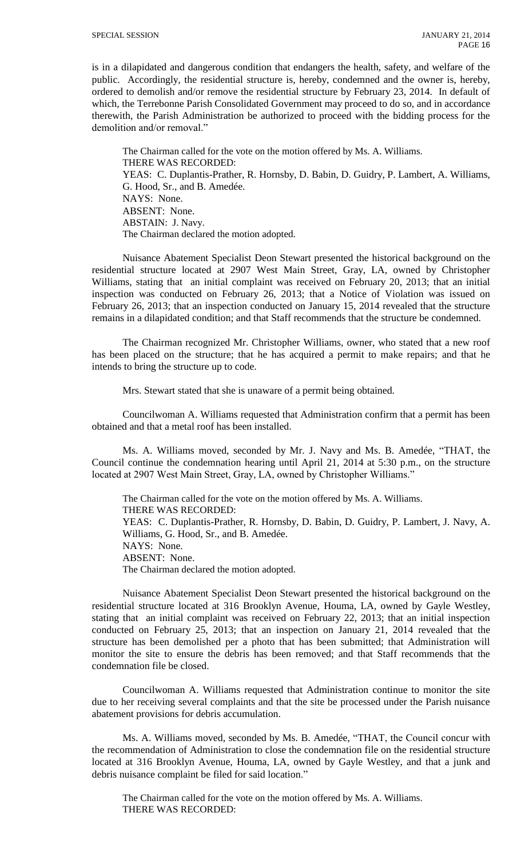is in a dilapidated and dangerous condition that endangers the health, safety, and welfare of the public. Accordingly, the residential structure is, hereby, condemned and the owner is, hereby, ordered to demolish and/or remove the residential structure by February 23, 2014. In default of which, the Terrebonne Parish Consolidated Government may proceed to do so, and in accordance therewith, the Parish Administration be authorized to proceed with the bidding process for the demolition and/or removal."

The Chairman called for the vote on the motion offered by Ms. A. Williams. THERE WAS RECORDED: YEAS: C. Duplantis-Prather, R. Hornsby, D. Babin, D. Guidry, P. Lambert, A. Williams, G. Hood, Sr., and B. Amedée. NAYS: None. ABSENT: None. ABSTAIN: J. Navy. The Chairman declared the motion adopted.

Nuisance Abatement Specialist Deon Stewart presented the historical background on the residential structure located at 2907 West Main Street, Gray, LA, owned by Christopher Williams, stating that an initial complaint was received on February 20, 2013; that an initial inspection was conducted on February 26, 2013; that a Notice of Violation was issued on February 26, 2013; that an inspection conducted on January 15, 2014 revealed that the structure remains in a dilapidated condition; and that Staff recommends that the structure be condemned.

The Chairman recognized Mr. Christopher Williams, owner, who stated that a new roof has been placed on the structure; that he has acquired a permit to make repairs; and that he intends to bring the structure up to code.

Mrs. Stewart stated that she is unaware of a permit being obtained.

Councilwoman A. Williams requested that Administration confirm that a permit has been obtained and that a metal roof has been installed.

Ms. A. Williams moved, seconded by Mr. J. Navy and Ms. B. Amedée, "THAT, the Council continue the condemnation hearing until April 21, 2014 at 5:30 p.m., on the structure located at 2907 West Main Street, Gray, LA, owned by Christopher Williams."

The Chairman called for the vote on the motion offered by Ms. A. Williams. THERE WAS RECORDED: YEAS: C. Duplantis-Prather, R. Hornsby, D. Babin, D. Guidry, P. Lambert, J. Navy, A. Williams, G. Hood, Sr., and B. Amedée. NAYS: None. ABSENT: None. The Chairman declared the motion adopted.

Nuisance Abatement Specialist Deon Stewart presented the historical background on the residential structure located at 316 Brooklyn Avenue, Houma, LA, owned by Gayle Westley, stating that an initial complaint was received on February 22, 2013; that an initial inspection conducted on February 25, 2013; that an inspection on January 21, 2014 revealed that the structure has been demolished per a photo that has been submitted; that Administration will monitor the site to ensure the debris has been removed; and that Staff recommends that the condemnation file be closed.

Councilwoman A. Williams requested that Administration continue to monitor the site due to her receiving several complaints and that the site be processed under the Parish nuisance abatement provisions for debris accumulation.

Ms. A. Williams moved, seconded by Ms. B. Amedée, "THAT, the Council concur with the recommendation of Administration to close the condemnation file on the residential structure located at 316 Brooklyn Avenue, Houma, LA, owned by Gayle Westley, and that a junk and debris nuisance complaint be filed for said location."

The Chairman called for the vote on the motion offered by Ms. A. Williams. THERE WAS RECORDED: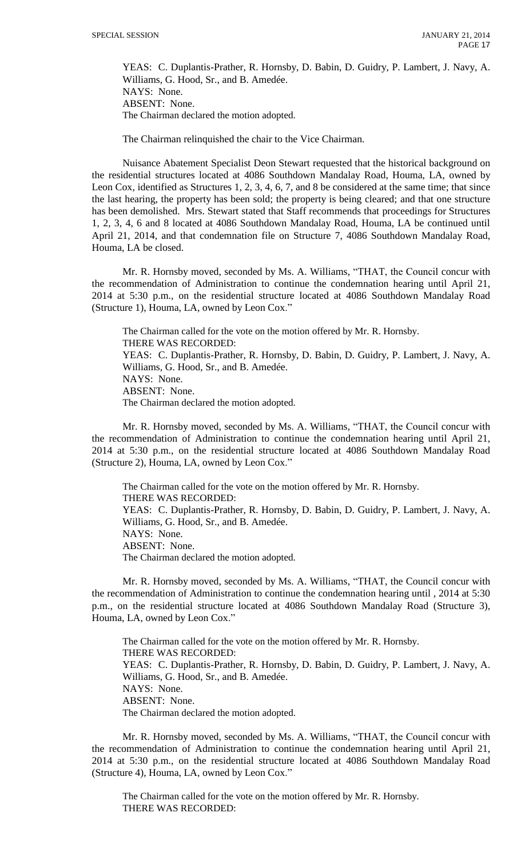YEAS: C. Duplantis-Prather, R. Hornsby, D. Babin, D. Guidry, P. Lambert, J. Navy, A. Williams, G. Hood, Sr., and B. Amedée. NAYS: None. ABSENT: None. The Chairman declared the motion adopted.

The Chairman relinquished the chair to the Vice Chairman.

Nuisance Abatement Specialist Deon Stewart requested that the historical background on the residential structures located at 4086 Southdown Mandalay Road, Houma, LA, owned by Leon Cox, identified as Structures 1, 2, 3, 4, 6, 7, and 8 be considered at the same time; that since the last hearing, the property has been sold; the property is being cleared; and that one structure has been demolished. Mrs. Stewart stated that Staff recommends that proceedings for Structures 1, 2, 3, 4, 6 and 8 located at 4086 Southdown Mandalay Road, Houma, LA be continued until April 21, 2014, and that condemnation file on Structure 7, 4086 Southdown Mandalay Road, Houma, LA be closed.

Mr. R. Hornsby moved, seconded by Ms. A. Williams, "THAT, the Council concur with the recommendation of Administration to continue the condemnation hearing until April 21, 2014 at 5:30 p.m., on the residential structure located at 4086 Southdown Mandalay Road (Structure 1), Houma, LA, owned by Leon Cox."

The Chairman called for the vote on the motion offered by Mr. R. Hornsby. THERE WAS RECORDED: YEAS: C. Duplantis-Prather, R. Hornsby, D. Babin, D. Guidry, P. Lambert, J. Navy, A. Williams, G. Hood, Sr., and B. Amedée. NAYS: None. ABSENT: None. The Chairman declared the motion adopted.

Mr. R. Hornsby moved, seconded by Ms. A. Williams, "THAT, the Council concur with the recommendation of Administration to continue the condemnation hearing until April 21, 2014 at 5:30 p.m., on the residential structure located at 4086 Southdown Mandalay Road (Structure 2), Houma, LA, owned by Leon Cox."

The Chairman called for the vote on the motion offered by Mr. R. Hornsby. THERE WAS RECORDED: YEAS: C. Duplantis-Prather, R. Hornsby, D. Babin, D. Guidry, P. Lambert, J. Navy, A. Williams, G. Hood, Sr., and B. Amedée. NAYS: None. ABSENT: None. The Chairman declared the motion adopted.

Mr. R. Hornsby moved, seconded by Ms. A. Williams, "THAT, the Council concur with the recommendation of Administration to continue the condemnation hearing until , 2014 at 5:30 p.m., on the residential structure located at 4086 Southdown Mandalay Road (Structure 3), Houma, LA, owned by Leon Cox."

The Chairman called for the vote on the motion offered by Mr. R. Hornsby. THERE WAS RECORDED: YEAS: C. Duplantis-Prather, R. Hornsby, D. Babin, D. Guidry, P. Lambert, J. Navy, A. Williams, G. Hood, Sr., and B. Amedée. NAYS: None. ABSENT: None. The Chairman declared the motion adopted.

Mr. R. Hornsby moved, seconded by Ms. A. Williams, "THAT, the Council concur with the recommendation of Administration to continue the condemnation hearing until April 21, 2014 at 5:30 p.m., on the residential structure located at 4086 Southdown Mandalay Road (Structure 4), Houma, LA, owned by Leon Cox."

The Chairman called for the vote on the motion offered by Mr. R. Hornsby. THERE WAS RECORDED: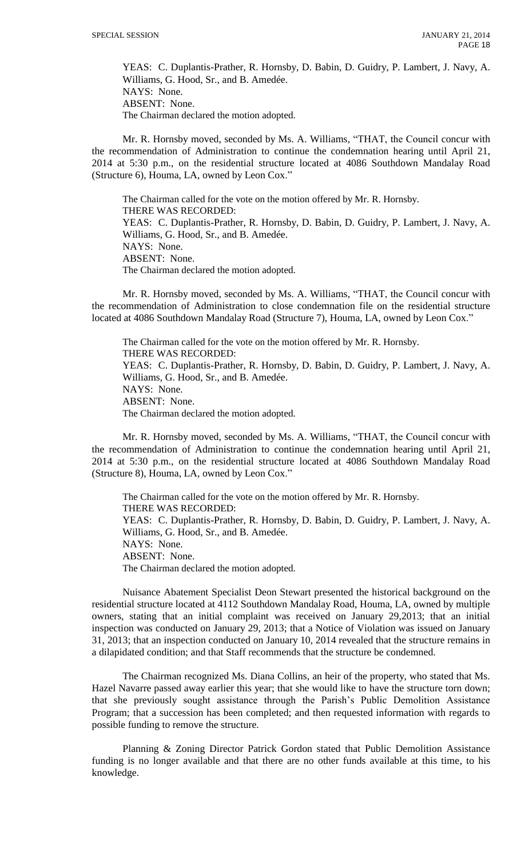YEAS: C. Duplantis-Prather, R. Hornsby, D. Babin, D. Guidry, P. Lambert, J. Navy, A. Williams, G. Hood, Sr., and B. Amedée. NAYS: None. ABSENT: None. The Chairman declared the motion adopted.

Mr. R. Hornsby moved, seconded by Ms. A. Williams, "THAT, the Council concur with the recommendation of Administration to continue the condemnation hearing until April 21, 2014 at 5:30 p.m., on the residential structure located at 4086 Southdown Mandalay Road (Structure 6), Houma, LA, owned by Leon Cox."

The Chairman called for the vote on the motion offered by Mr. R. Hornsby. THERE WAS RECORDED: YEAS: C. Duplantis-Prather, R. Hornsby, D. Babin, D. Guidry, P. Lambert, J. Navy, A. Williams, G. Hood, Sr., and B. Amedée. NAYS: None. ABSENT: None. The Chairman declared the motion adopted.

Mr. R. Hornsby moved, seconded by Ms. A. Williams, "THAT, the Council concur with the recommendation of Administration to close condemnation file on the residential structure located at 4086 Southdown Mandalay Road (Structure 7), Houma, LA, owned by Leon Cox."

The Chairman called for the vote on the motion offered by Mr. R. Hornsby. THERE WAS RECORDED: YEAS: C. Duplantis-Prather, R. Hornsby, D. Babin, D. Guidry, P. Lambert, J. Navy, A. Williams, G. Hood, Sr., and B. Amedée. NAYS: None. ABSENT: None. The Chairman declared the motion adopted.

Mr. R. Hornsby moved, seconded by Ms. A. Williams, "THAT, the Council concur with the recommendation of Administration to continue the condemnation hearing until April 21, 2014 at 5:30 p.m., on the residential structure located at 4086 Southdown Mandalay Road (Structure 8), Houma, LA, owned by Leon Cox."

The Chairman called for the vote on the motion offered by Mr. R. Hornsby. THERE WAS RECORDED: YEAS: C. Duplantis-Prather, R. Hornsby, D. Babin, D. Guidry, P. Lambert, J. Navy, A. Williams, G. Hood, Sr., and B. Amedée. NAYS: None. ABSENT: None. The Chairman declared the motion adopted.

Nuisance Abatement Specialist Deon Stewart presented the historical background on the residential structure located at 4112 Southdown Mandalay Road, Houma, LA, owned by multiple owners, stating that an initial complaint was received on January 29,2013; that an initial inspection was conducted on January 29, 2013; that a Notice of Violation was issued on January 31, 2013; that an inspection conducted on January 10, 2014 revealed that the structure remains in a dilapidated condition; and that Staff recommends that the structure be condemned.

The Chairman recognized Ms. Diana Collins, an heir of the property, who stated that Ms. Hazel Navarre passed away earlier this year; that she would like to have the structure torn down; that she previously sought assistance through the Parish's Public Demolition Assistance Program; that a succession has been completed; and then requested information with regards to possible funding to remove the structure.

Planning & Zoning Director Patrick Gordon stated that Public Demolition Assistance funding is no longer available and that there are no other funds available at this time, to his knowledge.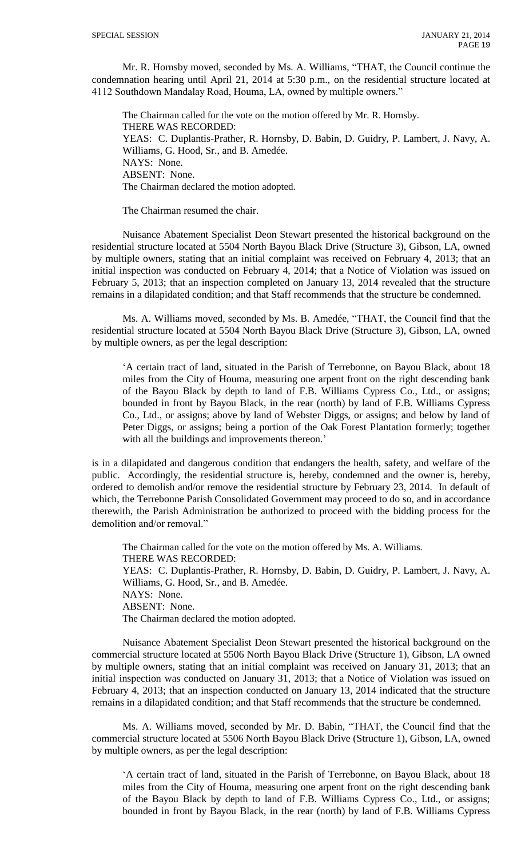Mr. R. Hornsby moved, seconded by Ms. A. Williams, "THAT, the Council continue the condemnation hearing until April 21, 2014 at 5:30 p.m., on the residential structure located at 4112 Southdown Mandalay Road, Houma, LA, owned by multiple owners."

The Chairman called for the vote on the motion offered by Mr. R. Hornsby. THERE WAS RECORDED: YEAS: C. Duplantis-Prather, R. Hornsby, D. Babin, D. Guidry, P. Lambert, J. Navy, A. Williams, G. Hood, Sr., and B. Amedée. NAYS: None. ABSENT: None. The Chairman declared the motion adopted.

The Chairman resumed the chair.

Nuisance Abatement Specialist Deon Stewart presented the historical background on the residential structure located at 5504 North Bayou Black Drive (Structure 3), Gibson, LA, owned by multiple owners, stating that an initial complaint was received on February 4, 2013; that an initial inspection was conducted on February 4, 2014; that a Notice of Violation was issued on February 5, 2013; that an inspection completed on January 13, 2014 revealed that the structure remains in a dilapidated condition; and that Staff recommends that the structure be condemned.

Ms. A. Williams moved, seconded by Ms. B. Amedée, "THAT, the Council find that the residential structure located at 5504 North Bayou Black Drive (Structure 3), Gibson, LA, owned by multiple owners, as per the legal description:

'A certain tract of land, situated in the Parish of Terrebonne, on Bayou Black, about 18 miles from the City of Houma, measuring one arpent front on the right descending bank of the Bayou Black by depth to land of F.B. Williams Cypress Co., Ltd., or assigns; bounded in front by Bayou Black, in the rear (north) by land of F.B. Williams Cypress Co., Ltd., or assigns; above by land of Webster Diggs, or assigns; and below by land of Peter Diggs, or assigns; being a portion of the Oak Forest Plantation formerly; together with all the buildings and improvements thereon.'

is in a dilapidated and dangerous condition that endangers the health, safety, and welfare of the public. Accordingly, the residential structure is, hereby, condemned and the owner is, hereby, ordered to demolish and/or remove the residential structure by February 23, 2014. In default of which, the Terrebonne Parish Consolidated Government may proceed to do so, and in accordance therewith, the Parish Administration be authorized to proceed with the bidding process for the demolition and/or removal."

The Chairman called for the vote on the motion offered by Ms. A. Williams. THERE WAS RECORDED: YEAS: C. Duplantis-Prather, R. Hornsby, D. Babin, D. Guidry, P. Lambert, J. Navy, A. Williams, G. Hood, Sr., and B. Amedée. NAYS: None. ABSENT: None. The Chairman declared the motion adopted.

Nuisance Abatement Specialist Deon Stewart presented the historical background on the commercial structure located at 5506 North Bayou Black Drive (Structure 1), Gibson, LA owned by multiple owners, stating that an initial complaint was received on January 31, 2013; that an initial inspection was conducted on January 31, 2013; that a Notice of Violation was issued on February 4, 2013; that an inspection conducted on January 13, 2014 indicated that the structure remains in a dilapidated condition; and that Staff recommends that the structure be condemned.

Ms. A. Williams moved, seconded by Mr. D. Babin, "THAT, the Council find that the commercial structure located at 5506 North Bayou Black Drive (Structure 1), Gibson, LA, owned by multiple owners, as per the legal description:

'A certain tract of land, situated in the Parish of Terrebonne, on Bayou Black, about 18 miles from the City of Houma, measuring one arpent front on the right descending bank of the Bayou Black by depth to land of F.B. Williams Cypress Co., Ltd., or assigns; bounded in front by Bayou Black, in the rear (north) by land of F.B. Williams Cypress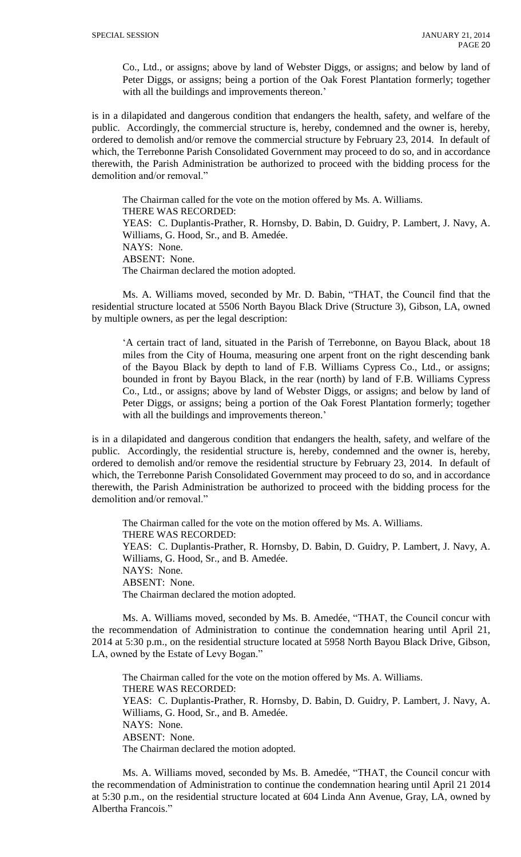Co., Ltd., or assigns; above by land of Webster Diggs, or assigns; and below by land of Peter Diggs, or assigns; being a portion of the Oak Forest Plantation formerly; together with all the buildings and improvements thereon.'

is in a dilapidated and dangerous condition that endangers the health, safety, and welfare of the public. Accordingly, the commercial structure is, hereby, condemned and the owner is, hereby, ordered to demolish and/or remove the commercial structure by February 23, 2014. In default of which, the Terrebonne Parish Consolidated Government may proceed to do so, and in accordance therewith, the Parish Administration be authorized to proceed with the bidding process for the demolition and/or removal."

The Chairman called for the vote on the motion offered by Ms. A. Williams. THERE WAS RECORDED: YEAS: C. Duplantis-Prather, R. Hornsby, D. Babin, D. Guidry, P. Lambert, J. Navy, A. Williams, G. Hood, Sr., and B. Amedée. NAYS: None. ABSENT: None. The Chairman declared the motion adopted.

Ms. A. Williams moved, seconded by Mr. D. Babin, "THAT, the Council find that the residential structure located at 5506 North Bayou Black Drive (Structure 3), Gibson, LA, owned by multiple owners, as per the legal description:

'A certain tract of land, situated in the Parish of Terrebonne, on Bayou Black, about 18 miles from the City of Houma, measuring one arpent front on the right descending bank of the Bayou Black by depth to land of F.B. Williams Cypress Co., Ltd., or assigns; bounded in front by Bayou Black, in the rear (north) by land of F.B. Williams Cypress Co., Ltd., or assigns; above by land of Webster Diggs, or assigns; and below by land of Peter Diggs, or assigns; being a portion of the Oak Forest Plantation formerly; together with all the buildings and improvements thereon.'

is in a dilapidated and dangerous condition that endangers the health, safety, and welfare of the public. Accordingly, the residential structure is, hereby, condemned and the owner is, hereby, ordered to demolish and/or remove the residential structure by February 23, 2014. In default of which, the Terrebonne Parish Consolidated Government may proceed to do so, and in accordance therewith, the Parish Administration be authorized to proceed with the bidding process for the demolition and/or removal."

The Chairman called for the vote on the motion offered by Ms. A. Williams. THERE WAS RECORDED: YEAS: C. Duplantis-Prather, R. Hornsby, D. Babin, D. Guidry, P. Lambert, J. Navy, A. Williams, G. Hood, Sr., and B. Amedée. NAYS: None. ABSENT: None. The Chairman declared the motion adopted.

Ms. A. Williams moved, seconded by Ms. B. Amedée, "THAT, the Council concur with the recommendation of Administration to continue the condemnation hearing until April 21, 2014 at 5:30 p.m., on the residential structure located at 5958 North Bayou Black Drive, Gibson, LA, owned by the Estate of Levy Bogan."

The Chairman called for the vote on the motion offered by Ms. A. Williams. THERE WAS RECORDED: YEAS: C. Duplantis-Prather, R. Hornsby, D. Babin, D. Guidry, P. Lambert, J. Navy, A. Williams, G. Hood, Sr., and B. Amedée. NAYS: None. ABSENT: None. The Chairman declared the motion adopted.

Ms. A. Williams moved, seconded by Ms. B. Amedée, "THAT, the Council concur with the recommendation of Administration to continue the condemnation hearing until April 21 2014 at 5:30 p.m., on the residential structure located at 604 Linda Ann Avenue, Gray, LA, owned by Albertha Francois."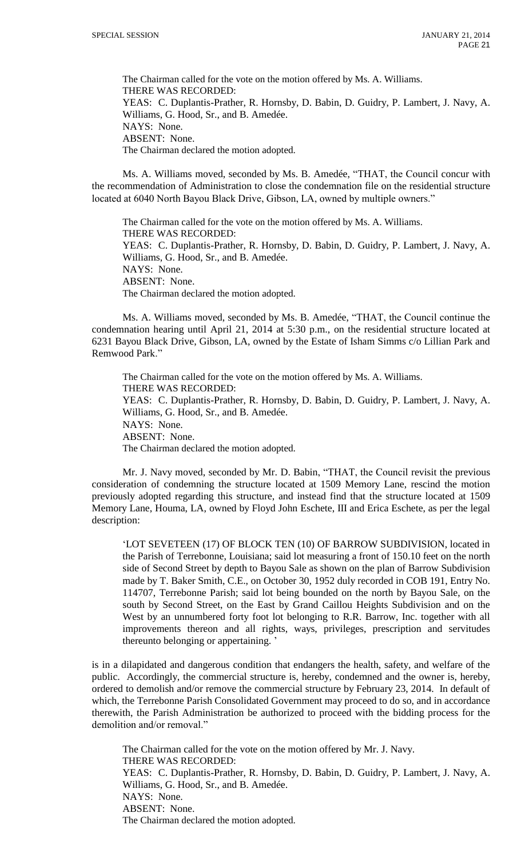The Chairman called for the vote on the motion offered by Ms. A. Williams. THERE WAS RECORDED: YEAS: C. Duplantis-Prather, R. Hornsby, D. Babin, D. Guidry, P. Lambert, J. Navy, A. Williams, G. Hood, Sr., and B. Amedée. NAYS: None. ABSENT: None. The Chairman declared the motion adopted.

Ms. A. Williams moved, seconded by Ms. B. Amedée, "THAT, the Council concur with the recommendation of Administration to close the condemnation file on the residential structure located at 6040 North Bayou Black Drive, Gibson, LA, owned by multiple owners."

The Chairman called for the vote on the motion offered by Ms. A. Williams. THERE WAS RECORDED: YEAS: C. Duplantis-Prather, R. Hornsby, D. Babin, D. Guidry, P. Lambert, J. Navy, A. Williams, G. Hood, Sr., and B. Amedée. NAYS: None. ABSENT: None. The Chairman declared the motion adopted.

Ms. A. Williams moved, seconded by Ms. B. Amedée, "THAT, the Council continue the condemnation hearing until April 21, 2014 at 5:30 p.m., on the residential structure located at 6231 Bayou Black Drive, Gibson, LA, owned by the Estate of Isham Simms c/o Lillian Park and Remwood Park."

The Chairman called for the vote on the motion offered by Ms. A. Williams. THERE WAS RECORDED: YEAS: C. Duplantis-Prather, R. Hornsby, D. Babin, D. Guidry, P. Lambert, J. Navy, A. Williams, G. Hood, Sr., and B. Amedée. NAYS: None. ABSENT: None. The Chairman declared the motion adopted.

Mr. J. Navy moved, seconded by Mr. D. Babin, "THAT, the Council revisit the previous consideration of condemning the structure located at 1509 Memory Lane, rescind the motion previously adopted regarding this structure, and instead find that the structure located at 1509 Memory Lane, Houma, LA, owned by Floyd John Eschete, III and Erica Eschete, as per the legal description:

'LOT SEVETEEN (17) OF BLOCK TEN (10) OF BARROW SUBDIVISION, located in the Parish of Terrebonne, Louisiana; said lot measuring a front of 150.10 feet on the north side of Second Street by depth to Bayou Sale as shown on the plan of Barrow Subdivision made by T. Baker Smith, C.E., on October 30, 1952 duly recorded in COB 191, Entry No. 114707, Terrebonne Parish; said lot being bounded on the north by Bayou Sale, on the south by Second Street, on the East by Grand Caillou Heights Subdivision and on the West by an unnumbered forty foot lot belonging to R.R. Barrow, Inc. together with all improvements thereon and all rights, ways, privileges, prescription and servitudes thereunto belonging or appertaining. '

is in a dilapidated and dangerous condition that endangers the health, safety, and welfare of the public. Accordingly, the commercial structure is, hereby, condemned and the owner is, hereby, ordered to demolish and/or remove the commercial structure by February 23, 2014. In default of which, the Terrebonne Parish Consolidated Government may proceed to do so, and in accordance therewith, the Parish Administration be authorized to proceed with the bidding process for the demolition and/or removal."

The Chairman called for the vote on the motion offered by Mr. J. Navy. THERE WAS RECORDED: YEAS: C. Duplantis-Prather, R. Hornsby, D. Babin, D. Guidry, P. Lambert, J. Navy, A. Williams, G. Hood, Sr., and B. Amedée. NAYS: None. ABSENT: None. The Chairman declared the motion adopted.